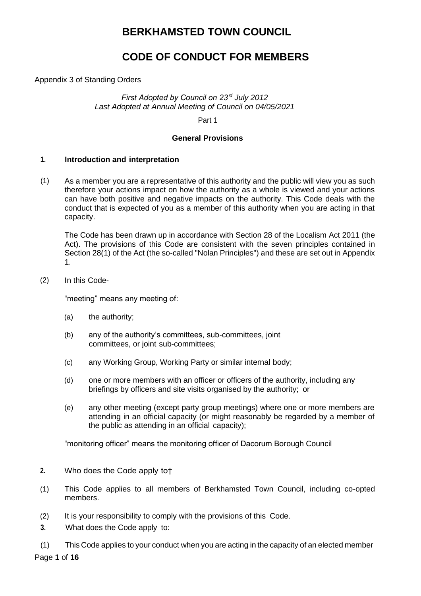### **CODE OF CONDUCT FOR MEMBERS**

Appendix 3 of Standing Orders

*First Adopted by Council on 23'<sup>d</sup> July 2012 Last Adopted at Annual Meeting of Council on 04/05/2021*

Part 1

### **General Provisions**

#### **1. Introduction and interpretation**

(1) As a member you are a representative of this authority and the public will view you as such therefore your actions impact on how the authority as a whole is viewed and your actions can have both positive and negative impacts on the authority. This Code deals with the conduct that is expected of you as a member of this authority when you are acting in that capacity.

The Code has been drawn up in accordance with Section 28 of the Localism Act 2011 (the Act). The provisions of this Code are consistent with the seven principles contained in Section 28(1) of the Act (the so-called "Nolan Principles") and these are set out in Appendix 1.

(2) In this Code-

"meeting" means any meeting of:

- (a) the authority;
- (b) any of the authority's committees, sub-committees, joint committees, or joint sub-committees;
- (c) any Working Group, Working Party or similar internal body;
- (d) one or more members with an officer or officers of the authority, including any briefings by officers and site visits organised by the authority; or
- (e) any other meeting (except party group meetings) where one or more members are attending in an official capacity (or might reasonably be regarded by a member of the public as attending in an official capacity);

"monitoring officer" means the monitoring officer of Dacorum Borough Council

- **2.** Who does the Code apply to†
- (1) This Code applies to all members of Berkhamsted Town Council, including co-opted members.
- (2) It is your responsibility to comply with the provisions of this Code.
- **3.** What does the Code apply to:
- (1) This Code applies to your conduct when you are acting in the capacity of an elected member

Page **1** of **16**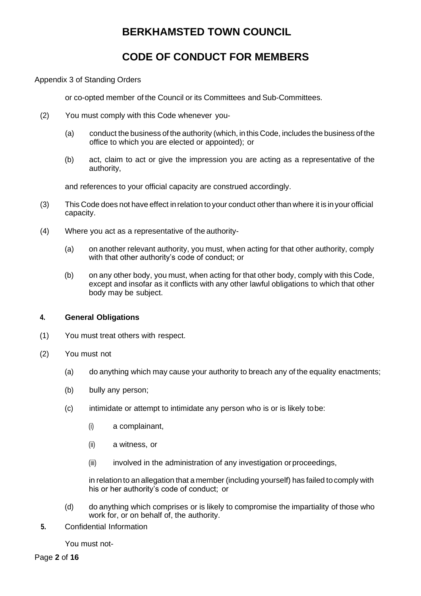# **CODE OF CONDUCT FOR MEMBERS**

#### Appendix 3 of Standing Orders

or co-opted member of the Council or its Committees and Sub-Committees.

- (2) You must comply with this Code whenever you-
	- (a) conduct the business of the authority (which, in this Code, includes the business of the office to which you are elected or appointed); or
	- (b) act, claim to act or give the impression you are acting as a representative of the authority,

and references to your official capacity are construed accordingly.

- (3) This Code does not have effect inrelation to your conduct other than where it is in your official capacity.
- (4) Where you act as a representative of the authority-
	- (a) on another relevant authority, you must, when acting for that other authority, comply with that other authority's code of conduct; or
	- (b) on any other body, you must, when acting for that other body, comply with this Code, except and insofar as it conflicts with any other lawful obligations to which that other body may be subject.

#### **4. General Obligations**

- (1) You must treat others with respect.
- (2) You must not
	- (a) do anything which may cause your authority to breach any of the equality enactments;
	- (b) bully any person;
	- (c) intimidate or attempt to intimidate any person who is or is likely tobe:
		- (i) a complainant,
		- (ii) a witness, or
		- (iii) involved in the administration of any investigation orproceedings,

in relation to an allegation that a member (including yourself) has failed to comply with his or her authority's code of conduct; or

- (d) do anything which comprises or is likely to compromise the impartiality of those who work for, or on behalf of, the authority.
- **5.** Confidential Information

You must not-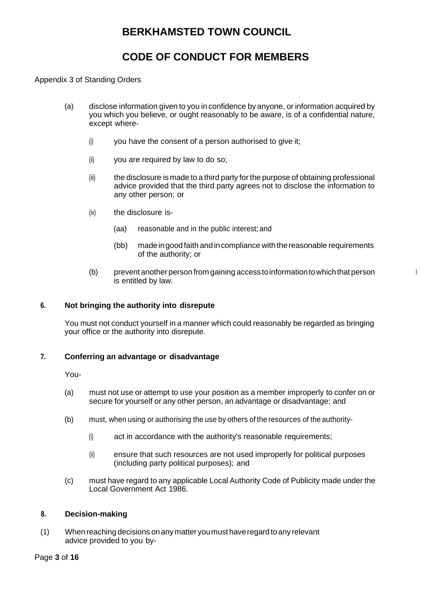# **CODE OF CONDUCT FOR MEMBERS**

#### Appendix 3 of Standing Orders

- (a) disclose information given to you in confidence by anyone, or information acquired by you which you believe, or ought reasonably to be aware, is of a confidential nature, except where-
	- (i) you have the consent of a person authorised to give it;
	- (ii) you are required by law to do so;
	- (iii) the disclosure is made to a third party for the purpose of obtaining professional advice provided that the third party agrees not to disclose the information to any other person; or
	- (iv) the disclosure is-
		- (aa) reasonable and in the public interest; and
		- (bb) made in good faith and in compliance with the reasonable requirements of the authority; or
	- (b) prevent another person from gaining access to information to which that person is entitled by law.

#### **6. Not bringing the authority into disrepute**

You must not conduct yourself in a manner which could reasonably be regarded as bringing your office or the authority into disrepute.

#### **7. Conferring an advantage or disadvantage**

You-

- (a) must not use or attempt to use your position as a member improperly to confer on or secure for yourself or any other person, an advantage or disadvantage; and
- (b) must, when using or authorising the use by others of the resources of the authority-
	- (i) act in accordance with the authority's reasonable requirements;
	- (ii) ensure that such resources are not used improperly for political purposes (including party political purposes); and
- (c) must have regard to any applicable Local Authority Code of Publicity made under the Local Government Act 1986.

#### **8. Decision-making**

(1) Whenreaching decisions onanymatter youmusthave regard toanyrelevant advice provided to you by-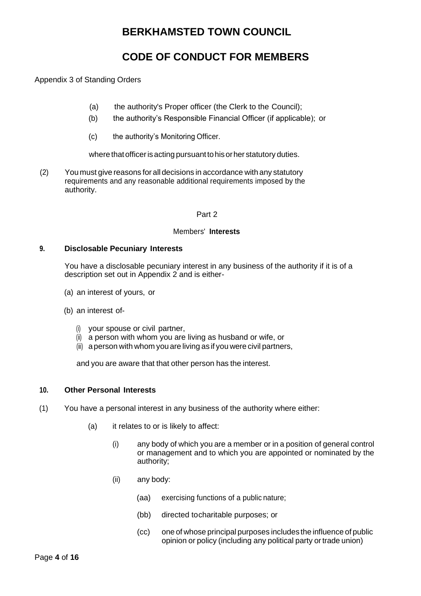### **CODE OF CONDUCT FOR MEMBERS**

Appendix 3 of Standing Orders

- (a) the authority's Proper officer (the Clerk to the Council);
- (b) the authority's Responsible Financial Officer (if applicable); or
- (c) the authority's Monitoring Officer.

where that officer is acting pursuant to his or her statutory duties.

(2) You must give reasons for all decisions in accordance with any statutory requirements and any reasonable additional requirements imposed by the authority.

#### Part 2

#### Members' **Interests**

#### **9. Disclosable Pecuniary Interests**

You have a disclosable pecuniary interest in any business of the authority if it is of a description set out in Appendix 2 and is either-

- (a) an interest of yours, or
- (b) an interest of-
	- (i) your spouse or civil partner,
	- $\overline{f}$  a person with whom you are living as husband or wife, or
	- (iii) a person with whom you are living as if you were civil partners,

and you are aware that that other person has the interest.

#### **10. Other Personal Interests**

- (1) You have a personal interest in any business of the authority where either:
	- (a) it relates to or is likely to affect:
		- (i) any body of which you are a member or in a position of general control or management and to which you are appointed or nominated by the authority;
		- (ii) any body:
			- (aa) exercising functions of a public nature;
			- (bb) directed tocharitable purposes; or
			- (cc) one of whose principal purposes includes the influence of public opinion or policy (including any political party or trade union)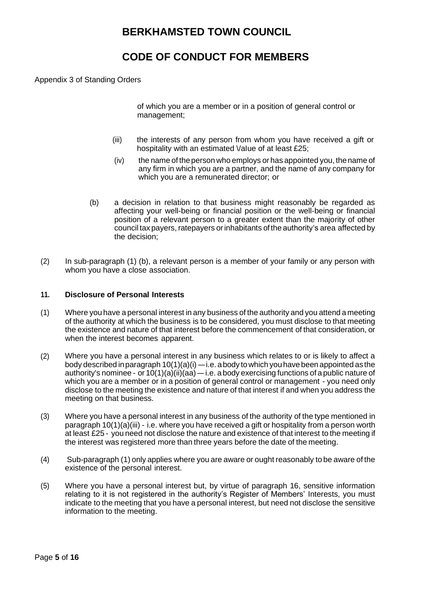### **CODE OF CONDUCT FOR MEMBERS**

Appendix 3 of Standing Orders

of which you are a member or in a position of general control or management;

- (iii) the interests of any person from whom you have received a gift or hospitality with an estimated \/aIue of at least £25;
- (iv) the name of theperson who employs or has appointed you, thename of any firm in which you are a partner, and the name of any company for which you are a remunerated director; or
- (b) a decision in relation to that business might reasonably be regarded as affecting your well-being or financial position or the well-being or financial position of a relevant person to a greater extent than the majority of other council tax payers, ratepayers orinhabitants ofthe authority's area affected by the decision;
- (2) In sub-paragraph (1) (b), a relevant person is a member of your family or any person with whom you have a close association.

#### **11. Disclosure of Personal Interests**

- (1) Where you have a personal interest in any business of the authority and you attend a meeting of the authority at which the business is to be considered, you must disclose to that meeting the existence and nature of that interest before the commencement of that consideration, or when the interest becomes apparent.
- (2) Where you have a personal interest in any business which relates to or is likely to affect a body described inparagraph 10(1)(a)(i) —i.e. abody towhich youhave been appointed asthe authority's nominee - or 10(1)(a)(ii)(aa) — i.e. a body exercising functions of a public nature of which you are a member or in a position of general control or management - you need only disclose to the meeting the existence and nature of that interest if and when you address the meeting on that business.
- (3) Where you have a personal interest in any business of the authority of the type mentioned in paragraph 10(1)(a)(iii) - i.e. where you have received a gift or hospitality from a person worth at least £25 - you need not disclose the nature and existence of that interest to the meeting if the interest was registered more than three years before the date of the meeting.
- (4) Sub-paragraph (1) only applies where you are aware or ought reasonably to be aware of the existence of the personal interest.
- (5) Where you have a personal interest but, by virtue of paragraph 16, sensitive information relating to it is not registered in the authority's Register of Members' Interests, you must indicate to the meeting that you have a personal interest, but need not disclose the sensitive information to the meeting.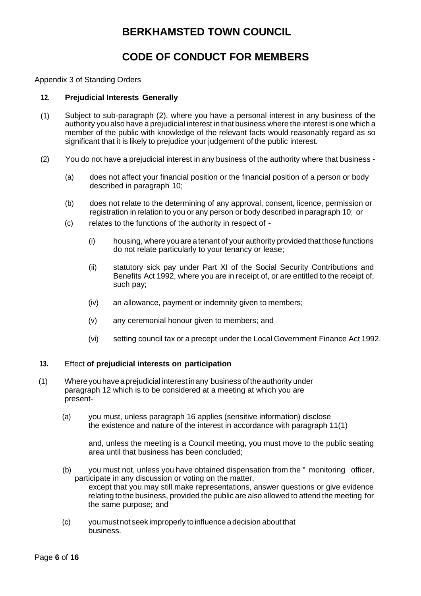# **CODE OF CONDUCT FOR MEMBERS**

Appendix 3 of Standing Orders

#### **12. Prejudicial Interests Generally**

- (1) Subject to sub-paragraph (2), where you have a personal interest in any business of the authority you also have a prejudicial interest in that business where the interest is one which a member of the public with knowledge of the relevant facts would reasonably regard as so significant that it is likely to prejudice your judgement of the public interest.
- (2) You do not have a prejudicial interest in any business of the authority where that business
	- (a) does not affect your financial position or the financial position of a person or body described in paragraph 10;
	- (b) does not relate to the determining of any approval, consent, licence, permission or registration in relation to you or any person or body described in paragraph 10; or
	- (c) relates to the functions of the authority in respect of
		- (i) housing, where youare a tenant of your authority provided that those functions do not relate particularly to your tenancy or lease;
		- (ii) statutory sick pay under Part XI of the Social Security Contributions and Benefits Act 1992, where you are in receipt of, or are entitled to the receipt of, such pay;
		- (iv) an allowance, payment or indemnity given to members;
		- (v) any ceremonial honour given to members; and
		- (vi) setting council tax or a precept under the Local Government Finance Act 1992.

#### **13.** Effect **of prejudicial interests on participation**

- (1) Where youhave aprejudicial interest inany business oftheauthority under paragraph 12 which is to be considered at a meeting at which you are present-
	- (a) you must, unless paragraph 16 applies (sensitive information) disclose the existence and nature of the interest in accordance with paragraph 11(1)

and, unless the meeting is a Council meeting, you must move to the public seating area until that business has been concluded;

- (b) you must not, unless you have obtained dispensation from the " monitoring officer, participate in any discussion or voting on the matter, except that you may still make representations, answer questions or give evidence relating to the business, provided the public are also allowed to attend the meeting for the same purpose; and
- (c) youmustnot seek improperly toinfluence adecision aboutthat business.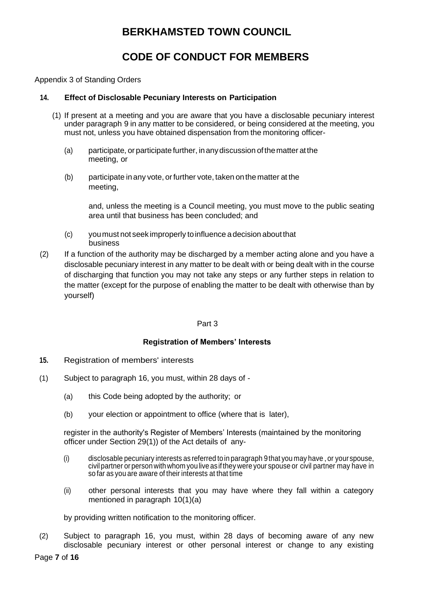# **CODE OF CONDUCT FOR MEMBERS**

Appendix 3 of Standing Orders

#### **14. Effect of Disclosable Pecuniary Interests on Participation**

- (1) If present at a meeting and you are aware that you have a disclosable pecuniary interest under paragraph 9 in any matter to be considered, or being considered at the meeting, you must not, unless you have obtained dispensation from the monitoring officer-
	- (a) participate, or participate further, inanydiscussion ofthematter atthe meeting, or
	- (b) participate in any vote, orfurther vote, taken onthematter at the meeting,

and, unless the meeting is a Council meeting, you must move to the public seating area until that business has been concluded; and

- (c) youmust not seek improperly toinfluence adecision aboutthat business
- (2) If a function of the authority may be discharged by a member acting alone and you have a disclosable pecuniary interest in any matter to be dealt with or being dealt with in the course of discharging that function you may not take any steps or any further steps in relation to the matter (except for the purpose of enabling the matter to be dealt with otherwise than by yourself)

#### Part 3

#### **Registration of Members' Interests**

- **15.** Registration of members' interests
- (1) Subject to paragraph 16, you must, within 28 days of
	- (a) this Code being adopted by the authority; or
	- (b) your election or appointment to office (where that is later),

register in the authority's Register of Members' Interests (maintained by the monitoring officer under Section 29(1)) of the Act details of any-

- (i) disclosable pecuniary interests as referred to in paragraph 9that you may have , or your spouse, civil partner or person withwhom you live asif they were your spouse or civil partner may have in so far as you are aware of their interests at that time
- (ii) other personal interests that you may have where they fall within a category mentioned in paragraph 10(1)(a)

by providing written notification to the monitoring officer.

(2) Subject to paragraph 16, you must, within 28 days of becoming aware of any new disclosable pecuniary interest or other personal interest or change to any existing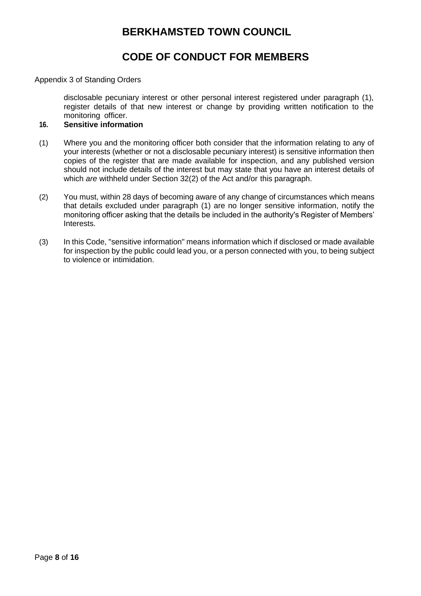### **CODE OF CONDUCT FOR MEMBERS**

#### Appendix 3 of Standing Orders

disclosable pecuniary interest or other personal interest registered under paragraph (1), register details of that new interest or change by providing written notification to the monitoring officer.

#### **16. Sensitive information**

- (1) Where you and the monitoring officer both consider that the information relating to any of your interests (whether or not a disclosable pecuniary interest) is sensitive information then copies of the register that are made available for inspection, and any published version should not include details of the interest but may state that you have an interest details of which *are* withheld under Section 32(2) of the Act and/or this paragraph.
- (2) You must, within 28 days of becoming aware of any change of circumstances which means that details excluded under paragraph (1) are no longer sensitive information, notify the monitoring officer asking that the details be included in the authority's Register of Members' Interests.
- (3) In this Code, "sensitive information" means information which if disclosed or made available for inspection by the public could lead you, or a person connected with you, to being subject to violence or intimidation.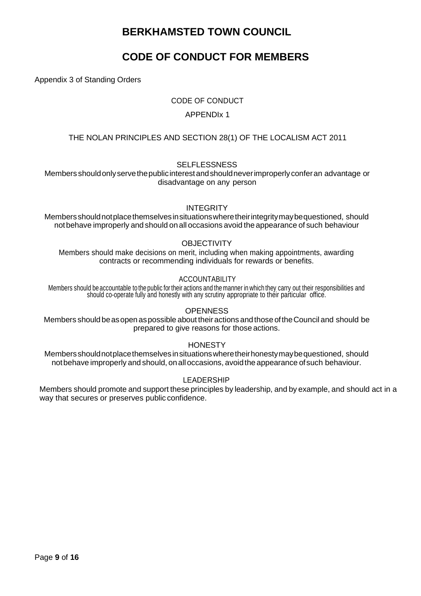# **CODE OF CONDUCT FOR MEMBERS**

Appendix 3 of Standing Orders

CODE OF CONDUCT

### APPENDIx 1

### THE NOLAN PRINCIPLES AND SECTION 28(1) OF THE LOCALISM ACT 2011

#### **SELFLESSNESS**

Members shouldonlyservethepublicinterestandshouldneverimproperlyconferan advantage or disadvantage on any person

#### **INTEGRITY**

Membersshouldnotplacethemselvesinsituationswheretheirintegritymaybequestioned, should notbehave improperly and should on all occasions avoid the appearance of such behaviour

#### **OBJECTIVITY**

Members should make decisions on merit, including when making appointments, awarding contracts or recommending individuals for rewards or benefits.

#### ACCOUNTABILITY

Members should be accountable to the public for their actions and the manner in which they carry out their responsibilities and should co-operate fully and honestly with any scrutiny appropriate to their particular office.

#### **OPENNESS**

Members should be as open as possible about their actions and those of the Council and should be prepared to give reasons for those actions.

#### **HONESTY**

Membersshouldnotplacethemselvesinsituationswheretheirhonestymaybequestioned, should notbehave improperly and should, onalloccasions, avoidtheappearance ofsuch behaviour.

#### LEADERSHIP

Members should promote and support these principles by leadership, and by example, and should act in a way that secures or preserves public confidence.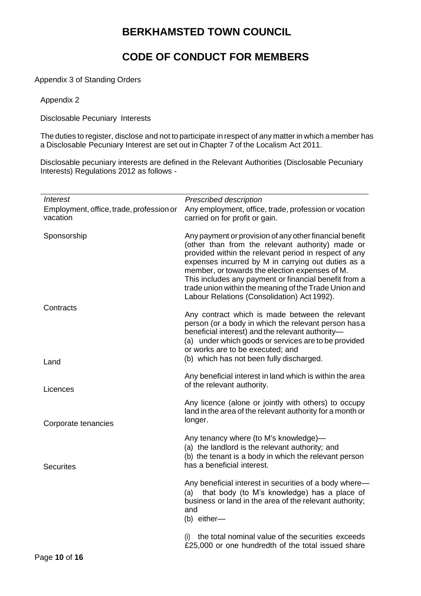### **CODE OF CONDUCT FOR MEMBERS**

Appendix 3 of Standing Orders

Appendix 2

Disclosable Pecuniary Interests

The duties to register, disclose and not to participate in respect of any matter in which a member has a Disclosable Pecuniary Interest are set out in Chapter 7 of the Localism Act 2011.

Disclosable pecuniary interests are defined in the Relevant Authorities (Disclosable Pecuniary Interests) Regulations 2012 as follows -

| Interest                                             | Prescribed description                                                                                                                                                                                                                                                                                                                                                                                                                        |
|------------------------------------------------------|-----------------------------------------------------------------------------------------------------------------------------------------------------------------------------------------------------------------------------------------------------------------------------------------------------------------------------------------------------------------------------------------------------------------------------------------------|
| Employment, office, trade, profession or<br>vacation | Any employment, office, trade, profession or vocation<br>carried on for profit or gain.                                                                                                                                                                                                                                                                                                                                                       |
| Sponsorship                                          | Any payment or provision of any other financial benefit<br>(other than from the relevant authority) made or<br>provided within the relevant period in respect of any<br>expenses incurred by M in carrying out duties as a<br>member, or towards the election expenses of M.<br>This includes any payment or financial benefit from a<br>trade union within the meaning of the Trade Union and<br>Labour Relations (Consolidation) Act 1992). |
| Contracts                                            | Any contract which is made between the relevant<br>person (or a body in which the relevant person has a<br>beneficial interest) and the relevant authority-<br>(a) under which goods or services are to be provided<br>or works are to be executed; and<br>(b) which has not been fully discharged.                                                                                                                                           |
| Land                                                 |                                                                                                                                                                                                                                                                                                                                                                                                                                               |
| Licences                                             | Any beneficial interest in land which is within the area<br>of the relevant authority.                                                                                                                                                                                                                                                                                                                                                        |
| Corporate tenancies                                  | Any licence (alone or jointly with others) to occupy<br>land in the area of the relevant authority for a month or<br>longer.                                                                                                                                                                                                                                                                                                                  |
| <b>Securites</b>                                     | Any tenancy where (to M's knowledge)-<br>(a) the landlord is the relevant authority; and<br>(b) the tenant is a body in which the relevant person<br>has a beneficial interest.                                                                                                                                                                                                                                                               |
|                                                      | Any beneficial interest in securities of a body where-<br>that body (to M's knowledge) has a place of<br>(a)<br>business or land in the area of the relevant authority;<br>and<br>(b) either-                                                                                                                                                                                                                                                 |
|                                                      | the total nominal value of the securities exceeds<br>(1)<br>£25,000 or one hundredth of the total issued share                                                                                                                                                                                                                                                                                                                                |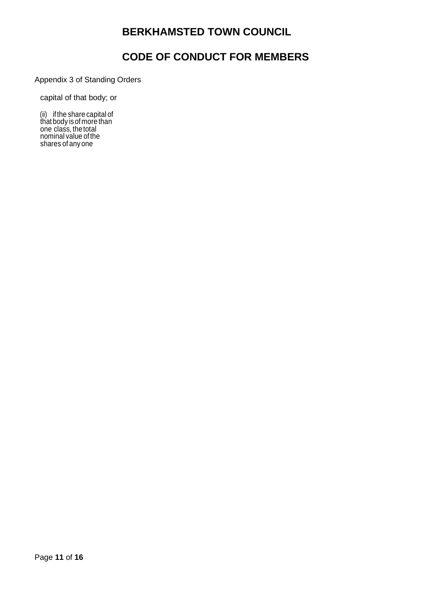# **CODE OF CONDUCT FOR MEMBERS**

Appendix 3 of Standing Orders

capital of that body; or

(ii) ifthe share capital of that body isof more than one class, thetotal nominal value ofthe shares of anyone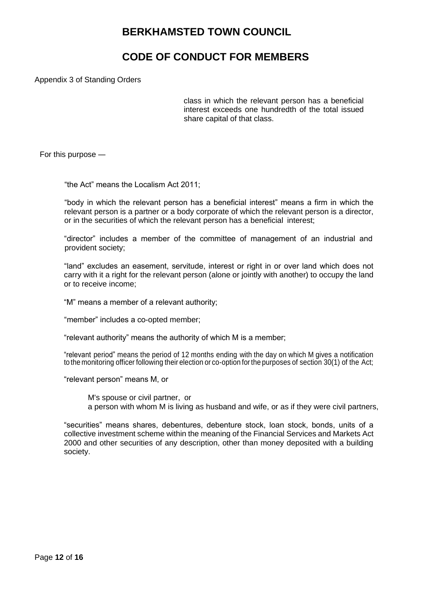### **CODE OF CONDUCT FOR MEMBERS**

Appendix 3 of Standing Orders

class in which the relevant person has a beneficial interest exceeds one hundredth of the total issued share capital of that class.

For this purpose —

"the Act" means the Localism Act 2011;

"body in which the relevant person has a beneficial interest" means a firm in which the relevant person is a partner or a body corporate of which the relevant person is a director, or in the securities of which the relevant person has a beneficial interest;

"director" includes a member of the committee of management of an industrial and provident society;

"land" excludes an easement, servitude, interest or right in or over land which does not carry with it a right for the relevant person (alone or jointly with another) to occupy the land or to receive income;

"M" means a member of a relevant authority;

"member" includes a co-opted member;

"relevant authority" means the authority of which M is a member;

"relevant period" means the period of 12 months ending with the day on which M gives a notification to the monitoring officer following their election or co-option forthe purposes of section 30(1) of the Act;

"relevant person" means M, or

M's spouse or civil partner, or a person with whom M is living as husband and wife, or as if they were civil partners,

"securities" means shares, debentures, debenture stock, loan stock, bonds, units of a collective investment scheme within the meaning of the Financial Services and Markets Act 2000 and other securities of any description, other than money deposited with a building society.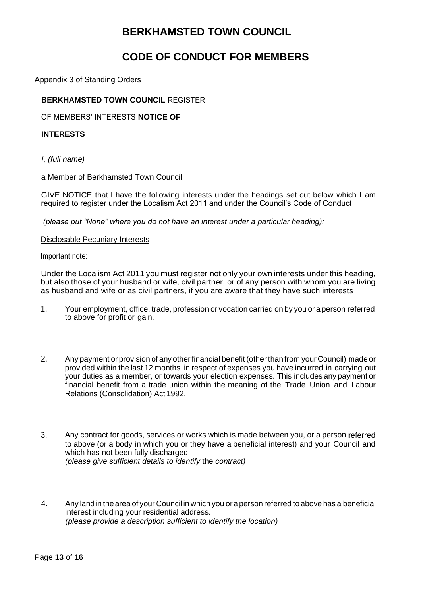### **CODE OF CONDUCT FOR MEMBERS**

Appendix 3 of Standing Orders

### **BERKHAMSTED TOWN COUNCIL** REGISTER

OF MEMBERS' INTERESTS **NOTICE OF** 

#### **INTERESTS**

*!, (full name)*

a Member of Berkhamsted Town Council

GIVE NOTICE that I have the following interests under the headings set out below which I am required to register under the Localism Act 2011 and under the Council's Code of Conduct

*(please put "None" where you do not have an interest under a particular heading):*

#### Disclosable Pecuniary Interests

Important note:

Under the Localism Act 2011 you must register not only your own interests under this heading, but also those of your husband or wife, civil partner, or of any person with whom you are living as husband and wife or as civil partners, if you are aware that they have such interests

- 1. Your employment, office, trade, profession or vocation carried on by you or a person referred to above for profit or gain.
- 2. Any payment or provision of any other financial benefit (other than from your Council) made or provided within the last 12 months in respect of expenses you have incurred in carrying out your duties as a member, or towards your election expenses. This includes any payment or financial benefit from a trade union within the meaning of the Trade Union and Labour Relations (Consolidation) Act 1992.
- 3. Any contract for goods, services or works which is made between you, or a person referred to above (or a body in which you or they have a beneficial interest) and your Council and which has not been fully discharged. *(please give sufficient details to identify* the *contract)*
- 4. Any land in the area of your Council in which you ora person referred to above has a beneficial interest including your residential address. *(please provide a description sufficient to identify the location)*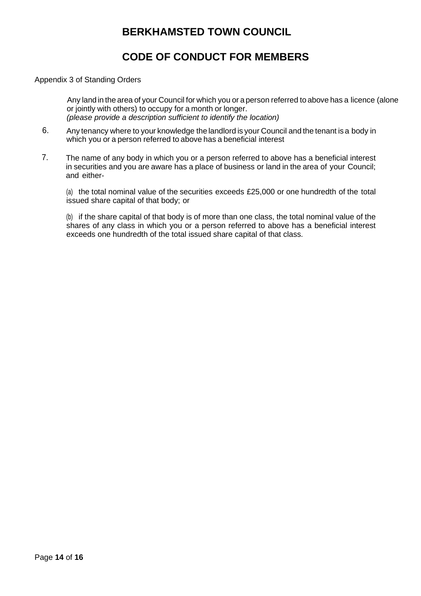# **CODE OF CONDUCT FOR MEMBERS**

Appendix 3 of Standing Orders

Any land in the area of your Council for which you or a person referred to above has a licence (alone or jointly with others) to occupy for a month or longer. *(please provide a description sufficient to identify the location)*

- 6. Any tenancy where to your knowledge the landlord is your Council and the tenant is a body in which you or a person referred to above has a beneficial interest
- 7. The name of any body in which you or a person referred to above has a beneficial interest in securities and you are aware has a place of business or land in the area of your Council; and either-

(a) the total nominal value of the securities exceeds £25,000 or one hundredth of the total issued share capital of that body; or

(b) if the share capital of that body is of more than one class, the total nominal value of the shares of any class in which you or a person referred to above has a beneficial interest exceeds one hundredth of the total issued share capital of that class.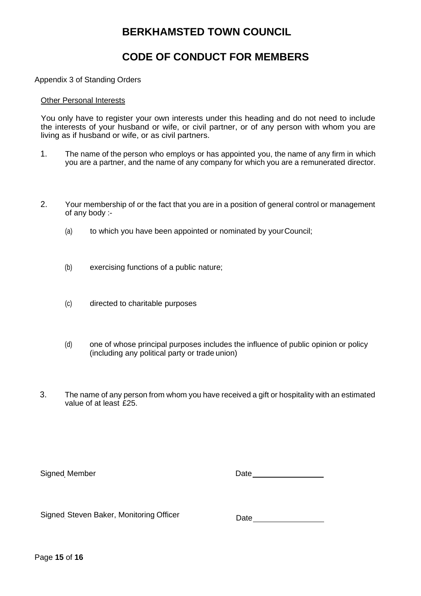### **CODE OF CONDUCT FOR MEMBERS**

Appendix 3 of Standing Orders

#### Other Personal Interests

You only have to register your own interests under this heading and do not need to include the interests of your husband or wife, or civil partner, or of any person with whom you are living as if husband or wife, or as civil partners.

- 1. The name of the person who employs or has appointed you, the name of any firm in which you are a partner, and the name of any company for which you are a remunerated director.
- 2. Your membership of or the fact that you are in a position of general control or management of any body :-
	- (a) to which you have been appointed or nominated by yourCouncil;
	- (b) exercising functions of a public nature;
	- (c) directed to charitable purposes
	- (d) one of whose principal purposes includes the influence of public opinion or policy (including any political party or trade union)
- 3. The name of any person from whom you have received a gift or hospitality with an estimated value of at least £25.

Signed Member

Date **Date** 

Signed Steven Baker, Monitoring Officer

Date

Page **15** of **16**